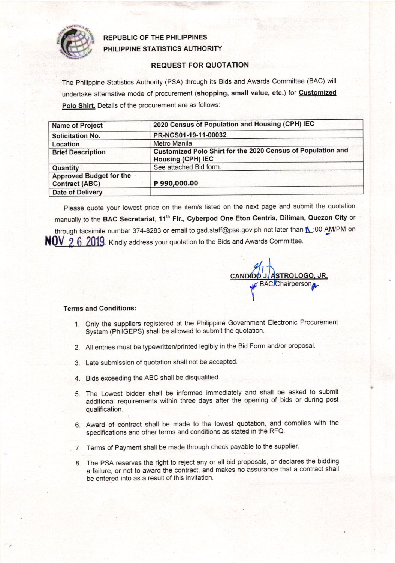

## REPUBLIC OF THE PHILIPPINES PHILIPPINE STATISTICS AUTHORITY

## REQUEST FOR QUOTATION

The Philippine Statistics Authority (PSA) through its Bids and Awards Committee (BAC) will undertake alternative mode of procurement (shopping, small value, etc.) for Customized Polo Shirt. Details of the procurement are as follows:

| <b>Name of Project</b>                                  | 2020 Census of Population and Housing (CPH) IEC                                         |  |  |
|---------------------------------------------------------|-----------------------------------------------------------------------------------------|--|--|
| <b>Solicitation No.</b>                                 | PR-NCS01-19-11-00032                                                                    |  |  |
| Location                                                | <b>Metro Manila</b>                                                                     |  |  |
| <b>Brief Description</b>                                | Customized Polo Shirt for the 2020 Census of Population and<br><b>Housing (CPH) IEC</b> |  |  |
| Quantity                                                | See attached Bid form.                                                                  |  |  |
| <b>Approved Budget for the</b><br><b>Contract (ABC)</b> | P 990,000.00                                                                            |  |  |
| <b>Date of Delivery</b>                                 |                                                                                         |  |  |

please quote your lowest price on the item/s listed on the next page and submit the quotation manually to the BAC Secretariat, 11<sup>th</sup> Flr., Cyberpod One Eton Centris, Diliman, Quezon City or through facsimile number 374-8283 or email to gsd. staff@psa.gov.ph not later than **[4**:00 AM/PM on NUV 2 6 2019. Kindly address your quotation to the Bids and Awards Committee.

<u>J. ASTROLOGO, JR.</u> **BAC/Chairperso** N l I

## Terms and Conditions:

- 1. Only the suppliers registered at the Philippine Government Electronic Procurement System (PhilGEPS) shall be allowed to submit the quotation.
- 2. All entries must be typewritten/printed legibly in the Bid Form and/or proposal.
- 3. Late submission of quotation shall not be accepted
- 4. Bids exceeding the ABC shall be disqualified.
- 5. The Lowest bidder shall be informed immediately and shall be asked to submit additional requirements within three days after the opening of bids or during post qualification.
- 6. Award of contract shall be made to the lowest quotation, and complies with the specifications and other terms and conditions as stated in the RFQ.
- 7. Terms of Payment shall be made through check payable to the supplier.
- 8. The PSA reserves the right to reject any or all bid proposals, or declares the bidding a failure, or not to award the contract, and makes no assurance that a contract shall be entered into as a result of this invitation.